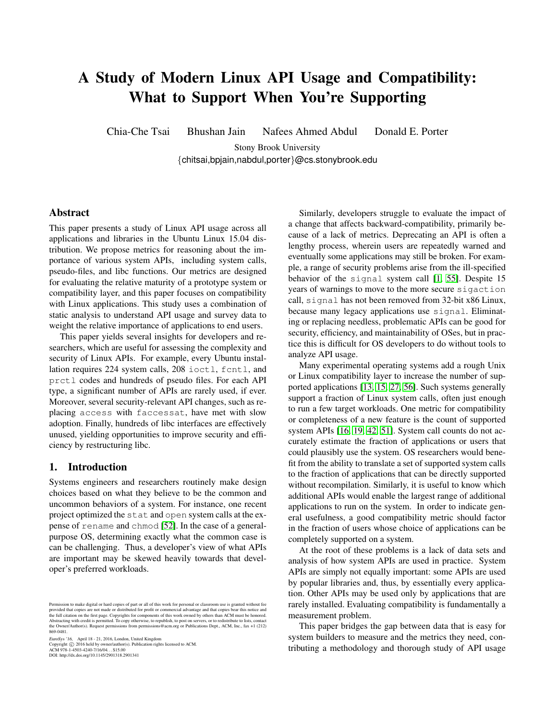# A Study of Modern Linux API Usage and Compatibility: What to Support When You're Supporting

Chia-Che Tsai Bhushan Jain Nafees Ahmed Abdul Donald E. Porter

Stony Brook University {chitsai,bpjain,nabdul,porter}@cs.stonybrook.edu

# Abstract

This paper presents a study of Linux API usage across all applications and libraries in the Ubuntu Linux 15.04 distribution. We propose metrics for reasoning about the importance of various system APIs, including system calls, pseudo-files, and libc functions. Our metrics are designed for evaluating the relative maturity of a prototype system or compatibility layer, and this paper focuses on compatibility with Linux applications. This study uses a combination of static analysis to understand API usage and survey data to weight the relative importance of applications to end users.

This paper yields several insights for developers and researchers, which are useful for assessing the complexity and security of Linux APIs. For example, every Ubuntu installation requires 224 system calls, 208 ioctl, fcntl, and prctl codes and hundreds of pseudo files. For each API type, a significant number of APIs are rarely used, if ever. Moreover, several security-relevant API changes, such as replacing access with faccessat, have met with slow adoption. Finally, hundreds of libc interfaces are effectively unused, yielding opportunities to improve security and efficiency by restructuring libc.

# 1. Introduction

Systems engineers and researchers routinely make design choices based on what they believe to be the common and uncommon behaviors of a system. For instance, one recent project optimized the stat and open system calls at the expense of rename and chmod [\[52\]](#page-15-0). In the case of a generalpurpose OS, determining exactly what the common case is can be challenging. Thus, a developer's view of what APIs are important may be skewed heavily towards that developer's preferred workloads.

EuroSys '16, April 18 - 21, 2016, London, United Kingdom Copyright c 2016 held by owner/author(s). Publication rights licensed to ACM. ACM 978-1-4503-4240-7/16/04. . . \$15.00

DOI: http://dx.doi.org/10.1145/2901318.2901341

Similarly, developers struggle to evaluate the impact of a change that affects backward-compatibility, primarily because of a lack of metrics. Deprecating an API is often a lengthy process, wherein users are repeatedly warned and eventually some applications may still be broken. For example, a range of security problems arise from the ill-specified behavior of the signal system call [\[1,](#page-14-0) [55\]](#page-15-1). Despite 15 years of warnings to move to the more secure sigaction call, signal has not been removed from 32-bit x86 Linux, because many legacy applications use signal. Eliminating or replacing needless, problematic APIs can be good for security, efficiency, and maintainability of OSes, but in practice this is difficult for OS developers to do without tools to analyze API usage.

Many experimental operating systems add a rough Unix or Linux compatibility layer to increase the number of supported applications [\[13,](#page-14-1) [15,](#page-14-2) [27,](#page-14-3) [56\]](#page-15-2). Such systems generally support a fraction of Linux system calls, often just enough to run a few target workloads. One metric for compatibility or completeness of a new feature is the count of supported system APIs [\[16,](#page-14-4) [19,](#page-14-5) [42,](#page-15-3) [51\]](#page-15-4). System call counts do not accurately estimate the fraction of applications or users that could plausibly use the system. OS researchers would benefit from the ability to translate a set of supported system calls to the fraction of applications that can be directly supported without recompilation. Similarly, it is useful to know which additional APIs would enable the largest range of additional applications to run on the system. In order to indicate general usefulness, a good compatibility metric should factor in the fraction of users whose choice of applications can be completely supported on a system.

At the root of these problems is a lack of data sets and analysis of how system APIs are used in practice. System APIs are simply not equally important: some APIs are used by popular libraries and, thus, by essentially every application. Other APIs may be used only by applications that are rarely installed. Evaluating compatibility is fundamentally a measurement problem.

This paper bridges the gap between data that is easy for system builders to measure and the metrics they need, contributing a methodology and thorough study of API usage

ion to make digital or hard copies of part or all of this work for personal or classroom use is granted without fee provided that copies are not made or distributed for profit or commercial advantage and that copies bear this notice and<br>the full citation on the first page. Copyrights for components of this work owned by others than ACM 869-0481.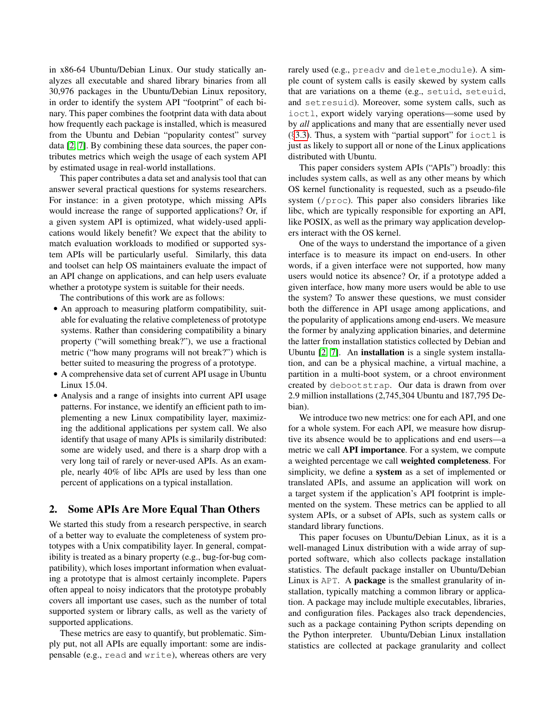in x86-64 Ubuntu/Debian Linux. Our study statically analyzes all executable and shared library binaries from all 30,976 packages in the Ubuntu/Debian Linux repository, in order to identify the system API "footprint" of each binary. This paper combines the footprint data with data about how frequently each package is installed, which is measured from the Ubuntu and Debian "popularity contest" survey data [\[2,](#page-14-6) [7\]](#page-14-7). By combining these data sources, the paper contributes metrics which weigh the usage of each system API by estimated usage in real-world installations.

This paper contributes a data set and analysis tool that can answer several practical questions for systems researchers. For instance: in a given prototype, which missing APIs would increase the range of supported applications? Or, if a given system API is optimized, what widely-used applications would likely benefit? We expect that the ability to match evaluation workloads to modified or supported system APIs will be particularly useful. Similarly, this data and toolset can help OS maintainers evaluate the impact of an API change on applications, and can help users evaluate whether a prototype system is suitable for their needs.

The contributions of this work are as follows:

- An approach to measuring platform compatibility, suitable for evaluating the relative completeness of prototype systems. Rather than considering compatibility a binary property ("will something break?"), we use a fractional metric ("how many programs will not break?") which is better suited to measuring the progress of a prototype.
- A comprehensive data set of current API usage in Ubuntu Linux 15.04.
- Analysis and a range of insights into current API usage patterns. For instance, we identify an efficient path to implementing a new Linux compatibility layer, maximizing the additional applications per system call. We also identify that usage of many APIs is similarily distributed: some are widely used, and there is a sharp drop with a very long tail of rarely or never-used APIs. As an example, nearly 40% of libc APIs are used by less than one percent of applications on a typical installation.

# 2. Some APIs Are More Equal Than Others

We started this study from a research perspective, in search of a better way to evaluate the completeness of system prototypes with a Unix compatibility layer. In general, compatibility is treated as a binary property (e.g., bug-for-bug compatibility), which loses important information when evaluating a prototype that is almost certainly incomplete. Papers often appeal to noisy indicators that the prototype probably covers all important use cases, such as the number of total supported system or library calls, as well as the variety of supported applications.

These metrics are easy to quantify, but problematic. Simply put, not all APIs are equally important: some are indispensable (e.g., read and write), whereas others are very

rarely used (e.g., preadv and delete module). A simple count of system calls is easily skewed by system calls that are variations on a theme (e.g., setuid, seteuid, and setresuid). Moreover, some system calls, such as ioctl, export widely varying operations—some used by by *all* applications and many that are essentially never used (§[3.3\)](#page-6-0). Thus, a system with "partial support" for ioctl is just as likely to support all or none of the Linux applications distributed with Ubuntu.

This paper considers system APIs ("APIs") broadly: this includes system calls, as well as any other means by which OS kernel functionality is requested, such as a pseudo-file system (/proc). This paper also considers libraries like libc, which are typically responsible for exporting an API, like POSIX, as well as the primary way application developers interact with the OS kernel.

One of the ways to understand the importance of a given interface is to measure its impact on end-users. In other words, if a given interface were not supported, how many users would notice its absence? Or, if a prototype added a given interface, how many more users would be able to use the system? To answer these questions, we must consider both the difference in API usage among applications, and the popularity of applications among end-users. We measure the former by analyzing application binaries, and determine the latter from installation statistics collected by Debian and Ubuntu [\[2,](#page-14-6) [7\]](#page-14-7). An **installation** is a single system installation, and can be a physical machine, a virtual machine, a partition in a multi-boot system, or a chroot environment created by debootstrap. Our data is drawn from over 2.9 million installations (2,745,304 Ubuntu and 187,795 Debian).

We introduce two new metrics: one for each API, and one for a whole system. For each API, we measure how disruptive its absence would be to applications and end users—a metric we call API importance. For a system, we compute a weighted percentage we call weighted completeness. For simplicity, we define a system as a set of implemented or translated APIs, and assume an application will work on a target system if the application's API footprint is implemented on the system. These metrics can be applied to all system APIs, or a subset of APIs, such as system calls or standard library functions.

This paper focuses on Ubuntu/Debian Linux, as it is a well-managed Linux distribution with a wide array of supported software, which also collects package installation statistics. The default package installer on Ubuntu/Debian Linux is APT. A package is the smallest granularity of installation, typically matching a common library or application. A package may include multiple executables, libraries, and configuration files. Packages also track dependencies, such as a package containing Python scripts depending on the Python interpreter. Ubuntu/Debian Linux installation statistics are collected at package granularity and collect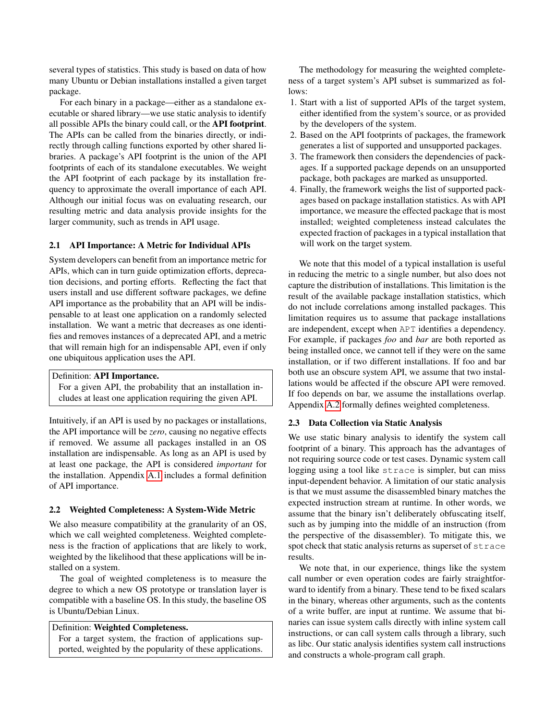several types of statistics. This study is based on data of how many Ubuntu or Debian installations installed a given target package.

For each binary in a package—either as a standalone executable or shared library—we use static analysis to identify all possible APIs the binary could call, or the API footprint. The APIs can be called from the binaries directly, or indirectly through calling functions exported by other shared libraries. A package's API footprint is the union of the API footprints of each of its standalone executables. We weight the API footprint of each package by its installation frequency to approximate the overall importance of each API. Although our initial focus was on evaluating research, our resulting metric and data analysis provide insights for the larger community, such as trends in API usage.

## 2.1 API Importance: A Metric for Individual APIs

System developers can benefit from an importance metric for APIs, which can in turn guide optimization efforts, deprecation decisions, and porting efforts. Reflecting the fact that users install and use different software packages, we define API importance as the probability that an API will be indispensable to at least one application on a randomly selected installation. We want a metric that decreases as one identifies and removes instances of a deprecated API, and a metric that will remain high for an indispensable API, even if only one ubiquitous application uses the API.

## Definition: API Importance.

For a given API, the probability that an installation includes at least one application requiring the given API.

Intuitively, if an API is used by no packages or installations, the API importance will be *zero*, causing no negative effects if removed. We assume all packages installed in an OS installation are indispensable. As long as an API is used by at least one package, the API is considered *important* for the installation. Appendix [A.1](#page-13-0) includes a formal definition of API importance.

#### 2.2 Weighted Completeness: A System-Wide Metric

We also measure compatibility at the granularity of an OS, which we call weighted completeness. Weighted completeness is the fraction of applications that are likely to work, weighted by the likelihood that these applications will be installed on a system.

The goal of weighted completeness is to measure the degree to which a new OS prototype or translation layer is compatible with a baseline OS. In this study, the baseline OS is Ubuntu/Debian Linux.

## Definition: Weighted Completeness.

For a target system, the fraction of applications supported, weighted by the popularity of these applications.

The methodology for measuring the weighted completeness of a target system's API subset is summarized as follows:

- 1. Start with a list of supported APIs of the target system, either identified from the system's source, or as provided by the developers of the system.
- 2. Based on the API footprints of packages, the framework generates a list of supported and unsupported packages.
- 3. The framework then considers the dependencies of packages. If a supported package depends on an unsupported package, both packages are marked as unsupported.
- 4. Finally, the framework weighs the list of supported packages based on package installation statistics. As with API importance, we measure the effected package that is most installed; weighted completeness instead calculates the expected fraction of packages in a typical installation that will work on the target system.

We note that this model of a typical installation is useful in reducing the metric to a single number, but also does not capture the distribution of installations. This limitation is the result of the available package installation statistics, which do not include correlations among installed packages. This limitation requires us to assume that package installations are independent, except when APT identifies a dependency. For example, if packages *foo* and *bar* are both reported as being installed once, we cannot tell if they were on the same installation, or if two different installations. If foo and bar both use an obscure system API, we assume that two installations would be affected if the obscure API were removed. If foo depends on bar, we assume the installations overlap. Appendix [A.2](#page-13-1) formally defines weighted completeness.

## 2.3 Data Collection via Static Analysis

We use static binary analysis to identify the system call footprint of a binary. This approach has the advantages of not requiring source code or test cases. Dynamic system call logging using a tool like strace is simpler, but can miss input-dependent behavior. A limitation of our static analysis is that we must assume the disassembled binary matches the expected instruction stream at runtime. In other words, we assume that the binary isn't deliberately obfuscating itself, such as by jumping into the middle of an instruction (from the perspective of the disassembler). To mitigate this, we spot check that static analysis returns as superset of strace results.

We note that, in our experience, things like the system call number or even operation codes are fairly straightforward to identify from a binary. These tend to be fixed scalars in the binary, whereas other arguments, such as the contents of a write buffer, are input at runtime. We assume that binaries can issue system calls directly with inline system call instructions, or can call system calls through a library, such as libc. Our static analysis identifies system call instructions and constructs a whole-program call graph.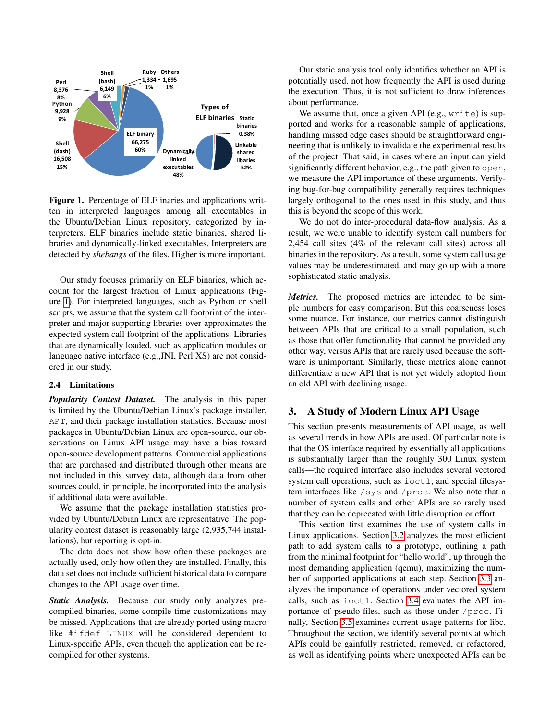

<span id="page-3-0"></span>Figure 1. Percentage of ELF inaries and applications written in interpreted languages among all executables in the Ubuntu/Debian Linux repository, categorized by interpreters. ELF binaries include static binaries, shared libraries and dynamically-linked executables. Interpreters are detected by *shebangs* of the files. Higher is more important.

Our study focuses primarily on ELF binaries, which account for the largest fraction of Linux applications (Figure [1\)](#page-3-0). For interpreted languages, such as Python or shell scripts, we assume that the system call footprint of the interpreter and major supporting libraries over-approximates the expected system call footprint of the applications. Libraries that are dynamically loaded, such as application modules or language native interface (e.g.,JNI, Perl XS) are not considered in our study.

## 2.4 Limitations

*Popularity Contest Dataset.* The analysis in this paper is limited by the Ubuntu/Debian Linux's package installer, APT, and their package installation statistics. Because most packages in Ubuntu/Debian Linux are open-source, our observations on Linux API usage may have a bias toward open-source development patterns. Commercial applications that are purchased and distributed through other means are not included in this survey data, although data from other sources could, in principle, be incorporated into the analysis if additional data were available.

We assume that the package installation statistics provided by Ubuntu/Debian Linux are representative. The popularity contest dataset is reasonably large (2,935,744 installations), but reporting is opt-in.

The data does not show how often these packages are actually used, only how often they are installed. Finally, this data set does not include sufficient historical data to compare changes to the API usage over time.

*Static Analysis.* Because our study only analyzes precompiled binaries, some compile-time customizations may be missed. Applications that are already ported using macro like #ifdef LINUX will be considered dependent to Linux-specific APIs, even though the application can be recompiled for other systems.

Our static analysis tool only identifies whether an API is potentially used, not how frequently the API is used during the execution. Thus, it is not sufficient to draw inferences about performance.

We assume that, once a given API (e.g., write) is supported and works for a reasonable sample of applications, handling missed edge cases should be straightforward engineering that is unlikely to invalidate the experimental results of the project. That said, in cases where an input can yield significantly different behavior, e.g., the path given to open, we measure the API importance of these arguments. Verifying bug-for-bug compatibility generally requires techniques largely orthogonal to the ones used in this study, and thus this is beyond the scope of this work.

We do not do inter-procedural data-flow analysis. As a result, we were unable to identify system call numbers for 2,454 call sites (4% of the relevant call sites) across all binaries in the repository. As a result, some system call usage values may be underestimated, and may go up with a more sophisticated static analysis.

*Metrics.* The proposed metrics are intended to be simple numbers for easy comparison. But this coarseness loses some nuance. For instance, our metrics cannot distinguish between APIs that are critical to a small population, such as those that offer functionality that cannot be provided any other way, versus APIs that are rarely used because the software is unimportant. Similarly, these metrics alone cannot differentiate a new API that is not yet widely adopted from an old API with declining usage.

# <span id="page-3-1"></span>3. A Study of Modern Linux API Usage

This section presents measurements of API usage, as well as several trends in how APIs are used. Of particular note is that the OS interface required by essentially all applications is substantially larger than the roughly 300 Linux system calls—the required interface also includes several vectored system call operations, such as  $i$  octl, and special filesystem interfaces like /sys and /proc. We also note that a number of system calls and other APIs are so rarely used that they can be deprecated with little disruption or effort.

This section first examines the use of system calls in Linux applications. Section [3.2](#page-5-0) analyzes the most efficient path to add system calls to a prototype, outlining a path from the minimal footprint for "hello world", up through the most demanding application (qemu), maximizing the number of supported applications at each step. Section [3.3](#page-6-0) analyzes the importance of operations under vectored system calls, such as ioctl. Section [3.4](#page-6-1) evaluates the API importance of pseudo-files, such as those under /proc. Finally, Section [3.5](#page-7-0) examines current usage patterns for libc. Throughout the section, we identify several points at which APIs could be gainfully restricted, removed, or refactored, as well as identifying points where unexpected APIs can be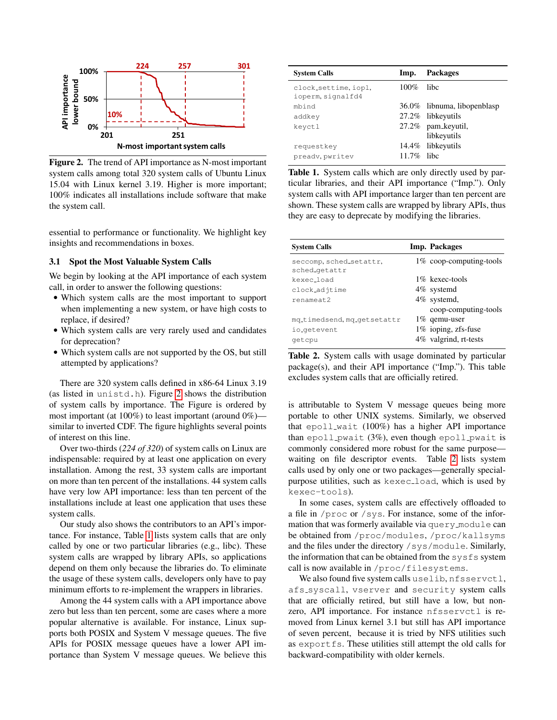

<span id="page-4-0"></span>Figure 2. The trend of API importance as N-most important system calls among total 320 system calls of Ubuntu Linux 15.04 with Linux kernel 3.19. Higher is more important; 100% indicates all installations include software that make the system call.

essential to performance or functionality. We highlight key insights and recommendations in boxes.

## <span id="page-4-3"></span>3.1 Spot the Most Valuable System Calls

We begin by looking at the API importance of each system call, in order to answer the following questions:

- Which system calls are the most important to support when implementing a new system, or have high costs to replace, if desired?
- Which system calls are very rarely used and candidates for deprecation?
- Which system calls are not supported by the OS, but still attempted by applications?

There are 320 system calls defined in x86-64 Linux 3.19 (as listed in unistd.h). Figure [2](#page-4-0) shows the distribution of system calls by importance. The Figure is ordered by most important (at 100%) to least important (around 0%) similar to inverted CDF. The figure highlights several points of interest on this line.

Over two-thirds (*224 of 320*) of system calls on Linux are indispensable: required by at least one application on every installation. Among the rest, 33 system calls are important on more than ten percent of the installations. 44 system calls have very low API importance: less than ten percent of the installations include at least one application that uses these system calls.

Our study also shows the contributors to an API's importance. For instance, Table [1](#page-4-1) lists system calls that are only called by one or two particular libraries (e.g., libc). These system calls are wrapped by library APIs, so applications depend on them only because the libraries do. To eliminate the usage of these system calls, developers only have to pay minimum efforts to re-implement the wrappers in libraries.

Among the 44 system calls with a API importance above zero but less than ten percent, some are cases where a more popular alternative is available. For instance, Linux supports both POSIX and System V message queues. The five APIs for POSIX message queues have a lower API importance than System V message queues. We believe this

| <b>System Calls</b>                       | Imp.          | <b>Packages</b>             |
|-------------------------------------------|---------------|-----------------------------|
| clock_settime, iopl,<br>ioperm, signalfd4 | $100\%$       | -libc                       |
| mbind                                     |               | 36.0% libnuma, libopenblasp |
| addkey                                    |               | 27.2% libkeyutils           |
| kevctl                                    |               | 27.2% pam_keyutil,          |
|                                           |               | libkeyutils                 |
| requestkey                                |               | 14.4% libkeyutils           |
| pready, pwritey                           | $11.7\%$ libe |                             |

<span id="page-4-1"></span>Table 1. System calls which are only directly used by particular libraries, and their API importance ("Imp."). Only system calls with API importance larger than ten percent are shown. These system calls are wrapped by library APIs, thus they are easy to deprecate by modifying the libraries.

| <b>System Calls</b>                      | Imp. Packages            |
|------------------------------------------|--------------------------|
| seccomp, sched_setattr,<br>sched_getattr | 1\% coop-computing-tools |
| kexec_load                               | $1\%$ kexec-tools        |
| clock_adjtime                            | 4% systemd               |
| renameat2                                | 4% systemd,              |
|                                          | coop-computing-tools     |
| mq_timedsend, mq_qetsetattr              | $1\%$ qemu-user          |
| io_getevent                              | 1% ioping, zfs-fuse      |
| getcpu                                   | 4% valgrind, rt-tests    |

<span id="page-4-2"></span>Table 2. System calls with usage dominated by particular package(s), and their API importance ("Imp."). This table excludes system calls that are officially retired.

is attributable to System V message queues being more portable to other UNIX systems. Similarly, we observed that epoll wait (100%) has a higher API importance than epoll pwait  $(3\%)$ , even though epoll pwait is commonly considered more robust for the same purpose waiting on file descriptor events. Table [2](#page-4-2) lists system calls used by only one or two packages—generally specialpurpose utilities, such as kexec load, which is used by kexec-tools).

In some cases, system calls are effectively offloaded to a file in /proc or /sys. For instance, some of the information that was formerly available via query module can be obtained from /proc/modules, /proc/kallsyms and the files under the directory /sys/module. Similarly, the information that can be obtained from the sysfs system call is now available in /proc/filesystems.

We also found five system calls uselib, nfsservctl, afs\_syscall, vserver and security system calls that are officially retired, but still have a low, but nonzero, API importance. For instance nfsservctl is removed from Linux kernel 3.1 but still has API importance of seven percent, because it is tried by NFS utilities such as exportfs. These utilities still attempt the old calls for backward-compatibility with older kernels.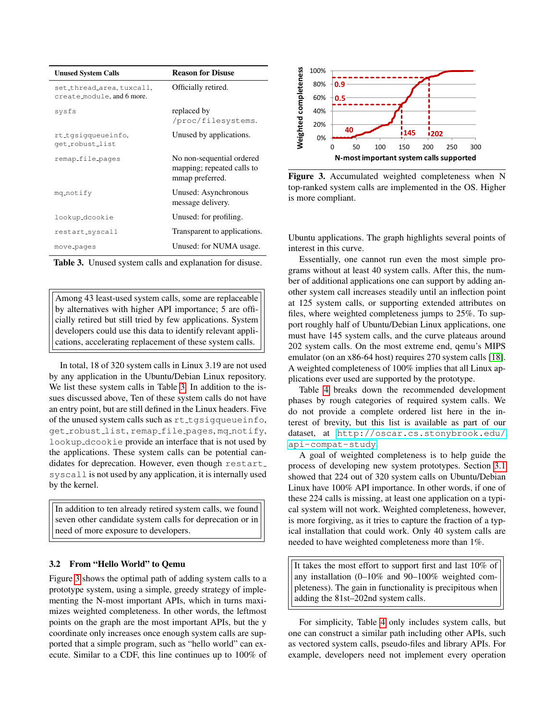| <b>Unused System Calls</b>                             | <b>Reason for Disuse</b>                                                   |
|--------------------------------------------------------|----------------------------------------------------------------------------|
| set_thread_area,tuxcall,<br>create_module, and 6 more. | Officially retired.                                                        |
| sysfs                                                  | replaced by<br>/proc/filesystems.                                          |
| rt_tqsiqqueueinfo,<br>qet_robust_list                  | Unused by applications.                                                    |
| remap_file_pages                                       | No non-sequential ordered<br>mapping; repeated calls to<br>mmap preferred. |
| mq_notify                                              | Unused: Asynchronous<br>message delivery.                                  |
| lookup_dcookie                                         | Unused: for profiling.                                                     |
| restart_syscall                                        | Transparent to applications.                                               |
| move_pages                                             | Unused: for NUMA usage.                                                    |

<span id="page-5-1"></span>Table 3. Unused system calls and explanation for disuse.

Among 43 least-used system calls, some are replaceable by alternatives with higher API importance; 5 are officially retired but still tried by few applications. System developers could use this data to identify relevant applications, accelerating replacement of these system calls.

In total, 18 of 320 system calls in Linux 3.19 are not used by any application in the Ubuntu/Debian Linux repository. We list these system calls in Table [3.](#page-5-1) In addition to the issues discussed above, Ten of these system calls do not have an entry point, but are still defined in the Linux headers. Five of the unused system calls such as rttgsigqueueinfo, get\_robust\_list, remap\_file\_pages, mq\_notify, lookup dcookie provide an interface that is not used by the applications. These system calls can be potential candidates for deprecation. However, even though restart syscall is not used by any application, it is internally used by the kernel.

In addition to ten already retired system calls, we found seven other candidate system calls for deprecation or in need of more exposure to developers.

# <span id="page-5-0"></span>3.2 From "Hello World" to Qemu

Figure [3](#page-5-2) shows the optimal path of adding system calls to a prototype system, using a simple, greedy strategy of implementing the N-most important APIs, which in turns maximizes weighted completeness. In other words, the leftmost points on the graph are the most important APIs, but the y coordinate only increases once enough system calls are supported that a simple program, such as "hello world" can execute. Similar to a CDF, this line continues up to 100% of



<span id="page-5-2"></span>Figure 3. Accumulated weighted completeness when N top-ranked system calls are implemented in the OS. Higher is more compliant.

Ubuntu applications. The graph highlights several points of interest in this curve.

Essentially, one cannot run even the most simple programs without at least 40 system calls. After this, the number of additional applications one can support by adding another system call increases steadily until an inflection point at 125 system calls, or supporting extended attributes on files, where weighted completeness jumps to 25%. To support roughly half of Ubuntu/Debian Linux applications, one must have 145 system calls, and the curve plateaus around 202 system calls. On the most extreme end, qemu's MIPS emulator (on an x86-64 host) requires 270 system calls [\[18\]](#page-14-8). A weighted completeness of 100% implies that all Linux applications ever used are supported by the prototype.

Table [4](#page-6-2) breaks down the recommended development phases by rough categories of required system calls. We do not provide a complete ordered list here in the interest of brevity, but this list is available as part of our dataset, at [http://oscar.cs.stonybrook.edu/](http://oscar.cs.stonybrook.edu/api-compat-study) [api-compat-study](http://oscar.cs.stonybrook.edu/api-compat-study).

A goal of weighted completeness is to help guide the process of developing new system prototypes. Section [3.1](#page-4-3) showed that 224 out of 320 system calls on Ubuntu/Debian Linux have 100% API importance. In other words, if one of these 224 calls is missing, at least one application on a typical system will not work. Weighted completeness, however, is more forgiving, as it tries to capture the fraction of a typical installation that could work. Only 40 system calls are needed to have weighted completeness more than 1%.

It takes the most effort to support first and last 10% of any installation (0–10% and 90–100% weighted completeness). The gain in functionality is precipitous when adding the 81st–202nd system calls.

For simplicity, Table [4](#page-6-2) only includes system calls, but one can construct a similar path including other APIs, such as vectored system calls, pseudo-files and library APIs. For example, developers need not implement every operation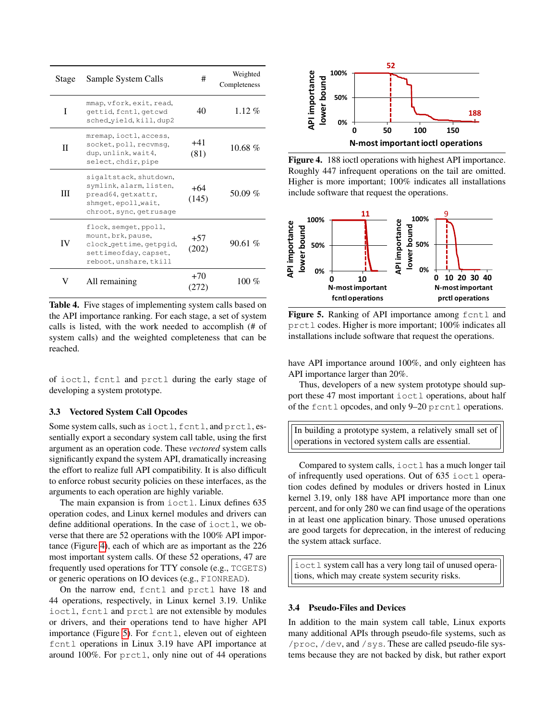| <b>Stage</b> | Sample System Calls                                                                                                                                                                                                                                                                                                                                                                                                                                                                                                                                                                                                                     | #              | Weighted<br>Completeness | 100%                                                                                                                                                     |
|--------------|-----------------------------------------------------------------------------------------------------------------------------------------------------------------------------------------------------------------------------------------------------------------------------------------------------------------------------------------------------------------------------------------------------------------------------------------------------------------------------------------------------------------------------------------------------------------------------------------------------------------------------------------|----------------|--------------------------|----------------------------------------------------------------------------------------------------------------------------------------------------------|
| I            | mmap, vfork, exit, read,<br>gettid, fcntl, getcwd<br>sched_yield, kill, dup2                                                                                                                                                                                                                                                                                                                                                                                                                                                                                                                                                            | 40             | $1.12\%$                 | <b>API importance</b><br>lower bound<br>50%<br>0%                                                                                                        |
| $_{\rm II}$  | mremap, ioctl, access,<br>socket, poll, recvmsg,<br>dup, unlink, wait4,<br>select, chdir, pipe                                                                                                                                                                                                                                                                                                                                                                                                                                                                                                                                          | $+41$<br>(81)  | 10.68 %                  | Figure 4. 188 io                                                                                                                                         |
| $\rm III$    | sigaltstack, shutdown,<br>symlink, alarm, listen,<br>pread64, getxattr,<br>shmget, epoll_wait,<br>chroot, sync, getrusage                                                                                                                                                                                                                                                                                                                                                                                                                                                                                                               | $+64$<br>(145) | 50.09%                   | Roughly 447 in<br>Higher is more<br>include software                                                                                                     |
| IV           | flock, semget, ppoll,<br>mount, brk, pause,<br>clock_gettime, getpgid,<br>settimeofday, capset,<br>reboot, unshare, tkill                                                                                                                                                                                                                                                                                                                                                                                                                                                                                                               | $+57$<br>(202) | 90.61 %                  | 100%<br>API importance<br>lower bound<br>50%                                                                                                             |
| V            | All remaining                                                                                                                                                                                                                                                                                                                                                                                                                                                                                                                                                                                                                           | $+70$<br>(272) | 100 %                    | 0%<br>0<br>N-mo                                                                                                                                          |
| <b>3.3</b>   | <b>Vectored System Call Opcodes</b><br>Some system calls, such as ioctl, fontl, and protl, es-<br>sentially export a secondary system call table, using the first                                                                                                                                                                                                                                                                                                                                                                                                                                                                       |                |                          | port these 47 mo<br>of the fontlop<br>In building a p<br>operations in v                                                                                 |
|              | argument as an operation code. These vectored system calls<br>significantly expand the system API, dramatically increasing<br>the effort to realize full API compatibility. It is also difficult<br>to enforce robust security policies on these interfaces, as the<br>arguments to each operation are highly variable.<br>The main expansion is from ioctl. Linux defines 635<br>operation codes, and Linux kernel modules and drivers can<br>define additional operations. In the case of ioctl, we ob-<br>verse that there are 52 operations with the 100% API impor-<br>tance (Figure 4), each of which are as important as the 226 |                |                          | Compared to<br>of infrequently<br>tion codes defin<br>kernel 3.19, onl<br>percent, and for<br>in at least one a<br>are good targets<br>the system attacl |
|              | most important system calls. Of these 52 operations, 47 are<br>frequently used operations for TTY console (e.g., TCGETS)<br>or generic operations on IO devices (e.g., FIONREAD).                                                                                                                                                                                                                                                                                                                                                                                                                                                       |                |                          | ioctl system<br>tions, which m                                                                                                                           |
|              | On the narrow end, fontl and protl have 18 and<br>44 operations, respectively, in Linux kernel 3.19. Unlike<br>ioctl, fontl and protl are not extensible by modules<br>or drivers, and their operations tend to have higher API<br>importance (Figure 5). For fcntl, eleven out of eighteen<br>fcntl operations in Linux 3.19 have API importance at<br>around 100%. For pret1, only nine out of 44 operations                                                                                                                                                                                                                          |                |                          | Pseudo-Fi<br>3.4<br>In addition to t<br>many additional<br>/proc, /dev,<br>tems because the                                                              |

<span id="page-6-2"></span>Table 4. Five stages of implementing system calls based on the API importance ranking. For each stage, a set of system calls is listed, with the work needed to accomplish (# of system calls) and the weighted completeness that can be reached.

#### <span id="page-6-0"></span>3.3 Vectored System Call Opcodes



<span id="page-6-3"></span>Figure 4. 188 ioctl operations with highest API importance. Roughly 447 infrequent operations on the tail are omitted. Higher is more important; 100% indicates all installations include software that request the operations.



<span id="page-6-4"></span>Figure 5. Ranking of API importance among fontl and prctl codes. Higher is more important; 100% indicates all installations include software that request the operations.

have API importance around 100%, and only eighteen has API importance larger than 20%.

Thus, developers of a new system prototype should support these 47 most important ioctl operations, about half of the fcntl opcodes, and only 9–20 prcntl operations.

In building a prototype system, a relatively small set of operations in vectored system calls are essential.

Compared to system calls, ioctl has a much longer tail of infrequently used operations. Out of 635 ioctl operation codes defined by modules or drivers hosted in Linux kernel 3.19, only 188 have API importance more than one percent, and for only 280 we can find usage of the operations in at least one application binary. Those unused operations are good targets for deprecation, in the interest of reducing the system attack surface.

ioctl system call has a very long tail of unused operations, which may create system security risks.

## <span id="page-6-1"></span>3.4 Pseudo-Files and Devices

In addition to the main system call table, Linux exports many additional APIs through pseudo-file systems, such as /proc, /dev, and /sys. These are called pseudo-file systems because they are not backed by disk, but rather export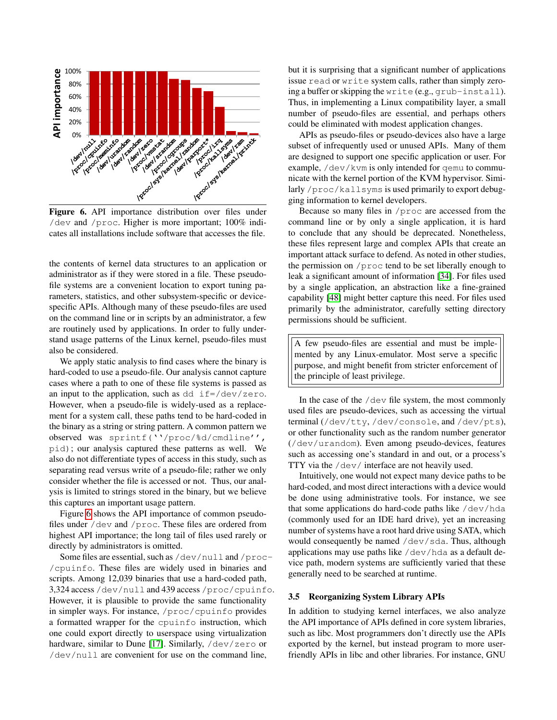

<span id="page-7-1"></span>/dev and /proc. Higher is more important; 100% indicates all installations include software that accesses the file.

the contents of kernel data structures to an application or administrator as if they were stored in a file. These pseudofile systems are a convenient location to export tuning parameters, statistics, and other subsystem-specific or devicespecific APIs. Although many of these pseudo-files are used on the command line or in scripts by an administrator, a few are routinely used by applications. In order to fully understand usage patterns of the Linux kernel, pseudo-files must also be considered.

We apply static analysis to find cases where the binary is hard-coded to use a pseudo-file. Our analysis cannot capture cases where a path to one of these file systems is passed as an input to the application, such as dd  $if=/dev/zero$ . However, when a pseudo-file is widely-used as a replacement for a system call, these paths tend to be hard-coded in the binary as a string or string pattern. A common pattern we observed was sprintf(''/proc/%d/cmdline'', pid); our analysis captured these patterns as well. We also do not differentiate types of access in this study, such as separating read versus write of a pseudo-file; rather we only consider whether the file is accessed or not. Thus, our analysis is limited to strings stored in the binary, but we believe this captures an important usage pattern.

Figure [6](#page-7-1) shows the API importance of common pseudofiles under /dev and /proc. These files are ordered from highest API importance; the long tail of files used rarely or directly by administrators is omitted.

Some files are essential, such as /dev/null and /proc- /cpuinfo. These files are widely used in binaries and scripts. Among 12,039 binaries that use a hard-coded path, 3,324 access /dev/null and 439 access /proc/cpuinfo. However, it is plausible to provide the same functionality in simpler ways. For instance, /proc/cpuinfo provides a formatted wrapper for the cpuinfo instruction, which one could export directly to userspace using virtualization hardware, similar to Dune [\[17\]](#page-14-9). Similarly, /dev/zero or /dev/null are convenient for use on the command line,

but it is surprising that a significant number of applications issue read or write system calls, rather than simply zeroing a buffer or skipping the write (e.g., grub-install). Thus, in implementing a Linux compatibility layer, a small number of pseudo-files are essential, and perhaps others could be eliminated with modest application changes.

APIs as pseudo-files or pseudo-devices also have a large subset of infrequently used or unused APIs. Many of them are designed to support one specific application or user. For example, /dev/kvm is only intended for qemu to communicate with the kernel portion of the KVM hypervisor. Similarly /proc/kallsyms is used primarily to export debugging information to kernel developers.

Because so many files in /proc are accessed from the command line or by only a single application, it is hard to conclude that any should be deprecated. Nonetheless, these files represent large and complex APIs that create an important attack surface to defend. As noted in other studies, the permission on /proc tend to be set liberally enough to leak a significant amount of information [\[34\]](#page-15-5). For files used by a single application, an abstraction like a fine-grained capability [\[48\]](#page-15-6) might better capture this need. For files used primarily by the administrator, carefully setting directory permissions should be sufficient.

A few pseudo-files are essential and must be implemented by any Linux-emulator. Most serve a specific purpose, and might benefit from stricter enforcement of the principle of least privilege.

In the case of the /dev file system, the most commonly used files are pseudo-devices, such as accessing the virtual terminal (/dev/tty, /dev/console, and /dev/pts), or other functionality such as the random number generator (/dev/urandom). Even among pseudo-devices, features such as accessing one's standard in and out, or a process's TTY via the /dev/ interface are not heavily used.

Intuitively, one would not expect many device paths to be hard-coded, and most direct interactions with a device would be done using administrative tools. For instance, we see that some applications do hard-code paths like /dev/hda (commonly used for an IDE hard drive), yet an increasing number of systems have a root hard drive using SATA, which would consequently be named /dev/sda. Thus, although applications may use paths like /dev/hda as a default device path, modern systems are sufficiently varied that these generally need to be searched at runtime.

#### <span id="page-7-0"></span>3.5 Reorganizing System Library APIs

In addition to studying kernel interfaces, we also analyze the API importance of APIs defined in core system libraries, such as libc. Most programmers don't directly use the APIs exported by the kernel, but instead program to more userfriendly APIs in libc and other libraries. For instance, GNU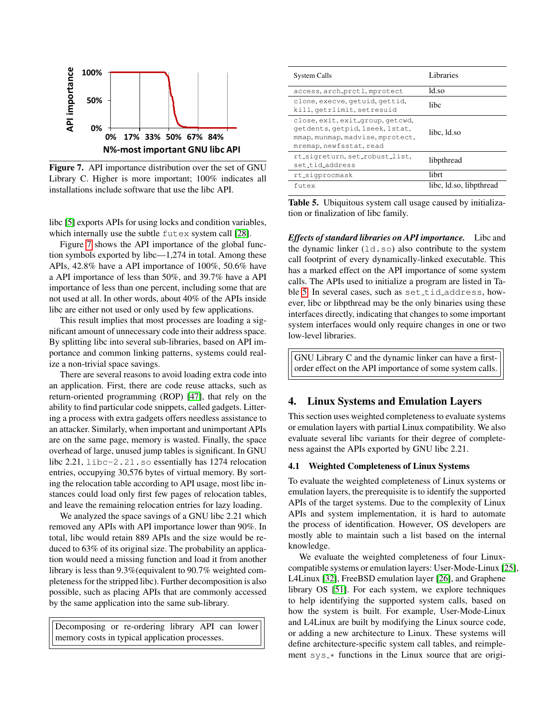

<span id="page-8-0"></span>Figure 7. API importance distribution over the set of GNU Library C. Higher is more important; 100% indicates all installations include software that use the libc API.

libc [\[5\]](#page-14-10) exports APIs for using locks and condition variables, which internally use the subtle futex system call [\[28\]](#page-14-11).

Figure [7](#page-8-0) shows the API importance of the global function symbols exported by libc—1,274 in total. Among these APIs, 42.8% have a API importance of 100%, 50.6% have a API importance of less than 50%, and 39.7% have a API importance of less than one percent, including some that are not used at all. In other words, about 40% of the APIs inside libc are either not used or only used by few applications.

This result implies that most processes are loading a significant amount of unnecessary code into their address space. By splitting libc into several sub-libraries, based on API importance and common linking patterns, systems could realize a non-trivial space savings.

There are several reasons to avoid loading extra code into an application. First, there are code reuse attacks, such as return-oriented programming (ROP) [\[47\]](#page-15-7), that rely on the ability to find particular code snippets, called gadgets. Littering a process with extra gadgets offers needless assistance to an attacker. Similarly, when important and unimportant APIs are on the same page, memory is wasted. Finally, the space overhead of large, unused jump tables is significant. In GNU libc 2.21, libc-2.21.so essentially has 1274 relocation entries, occupying 30,576 bytes of virtual memory. By sorting the relocation table according to API usage, most libc instances could load only first few pages of relocation tables, and leave the remaining relocation entries for lazy loading.

We analyzed the space savings of a GNU libc 2.21 which removed any APIs with API importance lower than 90%. In total, libc would retain 889 APIs and the size would be reduced to 63% of its original size. The probability an application would need a missing function and load it from another library is less than 9.3%(equivalent to 90.7% weighted completeness for the stripped libc). Further decomposition is also possible, such as placing APIs that are commonly accessed by the same application into the same sub-library.

Decomposing or re-ordering library API can lower memory costs in typical application processes.

| <b>System Calls</b>                                                                                                                | Libraries               |
|------------------------------------------------------------------------------------------------------------------------------------|-------------------------|
| access, arch_prctl, mprotect                                                                                                       | ld so                   |
| clone, execve, getuid, gettid,<br>kill, getrlimit, setresuid                                                                       | libe                    |
| close, exit, exit_group, getcwd,<br>getdents, getpid, lseek, lstat,<br>mmap, munmap, madvise, mprotect,<br>mremap, newfsstat, read | libc, ld.so             |
| rt_sigreturn.set_robust_list.<br>set_tid_address                                                                                   | libpthread              |
| rt_sigprocmask                                                                                                                     | librt                   |
| futex                                                                                                                              | libc, ld.so, libpthread |

<span id="page-8-1"></span>Table 5. Ubiquitous system call usage caused by initialization or finalization of libc family.

*Effects of standard libraries on API importance.* Libc and the dynamic linker  $(1d.so)$  also contribute to the system call footprint of every dynamically-linked executable. This has a marked effect on the API importance of some system calls. The APIs used to initialize a program are listed in Ta-ble [5.](#page-8-1) In several cases, such as set tid address, however, libc or libpthread may be the only binaries using these interfaces directly, indicating that changes to some important system interfaces would only require changes in one or two low-level libraries.

GNU Library C and the dynamic linker can have a firstorder effect on the API importance of some system calls.

# 4. Linux Systems and Emulation Layers

This section uses weighted completeness to evaluate systems or emulation layers with partial Linux compatibility. We also evaluate several libc variants for their degree of completeness against the APIs exported by GNU libc 2.21.

## 4.1 Weighted Completeness of Linux Systems

To evaluate the weighted completeness of Linux systems or emulation layers, the prerequisite is to identify the supported APIs of the target systems. Due to the complexity of Linux APIs and system implementation, it is hard to automate the process of identification. However, OS developers are mostly able to maintain such a list based on the internal knowledge.

We evaluate the weighted completeness of four Linuxcompatible systems or emulation layers: User-Mode-Linux [\[25\]](#page-14-12), L4Linux [\[32\]](#page-14-13), FreeBSD emulation layer [\[26\]](#page-14-14), and Graphene library OS [\[51\]](#page-15-4). For each system, we explore techniques to help identifying the supported system calls, based on how the system is built. For example, User-Mode-Linux and L4Linux are built by modifying the Linux source code, or adding a new architecture to Linux. These systems will define architecture-specific system call tables, and reimplement  $sys_*$  functions in the Linux source that are origi-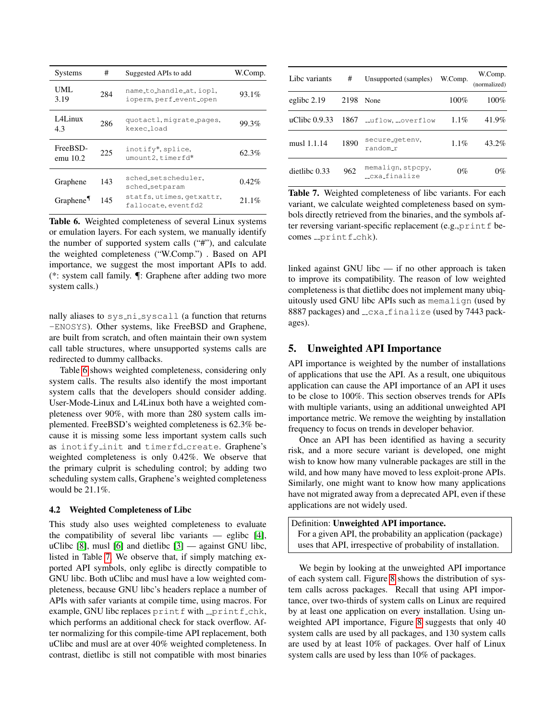| <b>Systems</b>         | #   | Suggested APIs to add                             | W.Comp.  |
|------------------------|-----|---------------------------------------------------|----------|
| UML<br>3.19            | 284 | name_to_handle_at.iopl.<br>ioperm.perf_event_open | 93.1%    |
| L4L inux<br>4.3        | 286 | quotactl, migrate_pages,<br>kexec_load            | 99.3%    |
| FreeBSD-<br>$emu$ 10.2 | 225 | inotify*, splice,<br>umount2, timerfd*            | 62.3%    |
| Graphene               | 143 | sched_setscheduler,<br>sched_setparam             | $0.42\%$ |
| Graphene <sup>¶</sup>  | 145 | statfs, utimes, getxattr,<br>fallocate, eventfd2  | 21.1%    |

<span id="page-9-0"></span>Table 6. Weighted completeness of several Linux systems or emulation layers. For each system, we manually identify the number of supported system calls ("#"), and calculate the weighted completeness ("W.Comp.") . Based on API importance, we suggest the most important APIs to add. (\*: system call family. ¶: Graphene after adding two more system calls.)

nally aliases to sys\_ni\_syscall (a function that returns -ENOSYS). Other systems, like FreeBSD and Graphene, are built from scratch, and often maintain their own system call table structures, where unsupported systems calls are redirected to dummy callbacks.

Table [6](#page-9-0) shows weighted completeness, considering only system calls. The results also identify the most important system calls that the developers should consider adding. User-Mode-Linux and L4Linux both have a weighted completeness over 90%, with more than 280 system calls implemented. FreeBSD's weighted completeness is 62.3% because it is missing some less important system calls such as inotify init and timerfd create. Graphene's weighted completeness is only 0.42%. We observe that the primary culprit is scheduling control; by adding two scheduling system calls, Graphene's weighted completeness would be 21.1%.

#### 4.2 Weighted Completeness of Libc

This study also uses weighted completeness to evaluate the compatibility of several libc variants — eglibc [\[4\]](#page-14-15), uClibc [\[8\]](#page-14-16), musl [\[6\]](#page-14-17) and dietlibc [\[3\]](#page-14-18) — against GNU libc, listed in Table [7.](#page-9-1) We observe that, if simply matching exported API symbols, only eglibc is directly compatible to GNU libc. Both uClibc and musl have a low weighted completeness, because GNU libc's headers replace a number of APIs with safer variants at compile time, using macros. For example, GNU libc replaces  $print$  with  $print$  finishes  $\alpha$ , which performs an additional check for stack overflow. After normalizing for this compile-time API replacement, both uClibc and musl are at over 40% weighted completeness. In contrast, dietlibc is still not compatible with most binaries

| Libc variants        | #                                       | Unsupported (samples)              | W.Comp. | W.Comp.<br>(normalized) |
|----------------------|-----------------------------------------|------------------------------------|---------|-------------------------|
| eglibc $2.19$        | 2198                                    | None                               | $100\%$ | $100\%$                 |
| $\mu$ Clibc 0.9.33   | 1867                                    | _uflow, _overflow                  | $1.1\%$ | 41.9%                   |
| 1890<br>musl 1.1.14  | secure_getenv.<br>random <sub>-</sub> r | $1.1\%$                            | 43.2%   |                         |
| 962<br>dietlibc 0.33 |                                         | memalign, stpcpy,<br>_cxa_finalize | $0\%$   | $0\%$                   |

<span id="page-9-1"></span>Table 7. Weighted completeness of libc variants. For each variant, we calculate weighted completeness based on symbols directly retrieved from the binaries, and the symbols after reversing variant-specific replacement (e.g., printf be $comes \text{--printf}$ -chk).

linked against GNU libc — if no other approach is taken to improve its compatibility. The reason of low weighted completeness is that dietlibc does not implement many ubiquitously used GNU libc APIs such as memalign (used by 8887 packages) and \_\_cxa\_finalize (used by 7443 packages).

# 5. Unweighted API Importance

API importance is weighted by the number of installations of applications that use the API. As a result, one ubiquitous application can cause the API importance of an API it uses to be close to 100%. This section observes trends for APIs with multiple variants, using an additional unweighted API importance metric. We remove the weighting by installation frequency to focus on trends in developer behavior.

Once an API has been identified as having a security risk, and a more secure variant is developed, one might wish to know how many vulnerable packages are still in the wild, and how many have moved to less exploit-prone APIs. Similarly, one might want to know how many applications have not migrated away from a deprecated API, even if these applications are not widely used.

| Definition: Unweighted API importance.                      |
|-------------------------------------------------------------|
| For a given API, the probability an application (package)   |
| uses that API, irrespective of probability of installation. |

We begin by looking at the unweighted API importance of each system call. Figure [8](#page-10-0) shows the distribution of system calls across packages. Recall that using API importance, over two-thirds of system calls on Linux are required by at least one application on every installation. Using unweighted API importance, Figure [8](#page-10-0) suggests that only 40 system calls are used by all packages, and 130 system calls are used by at least 10% of packages. Over half of Linux system calls are used by less than 10% of packages.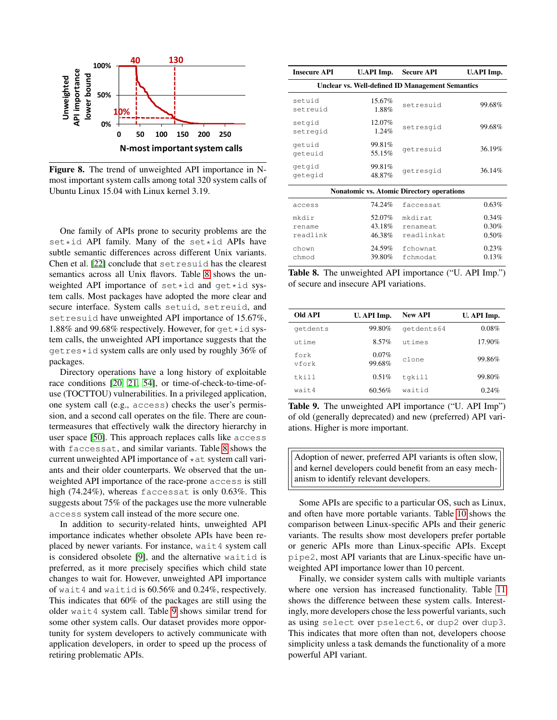

<span id="page-10-0"></span>Figure 8. The trend of unweighted API importance in Nmost important system calls among total 320 system calls of Ubuntu Linux 15.04 with Linux kernel 3.19.

One family of APIs prone to security problems are the set\*id API family. Many of the set\*id APIs have subtle semantic differences across different Unix variants. Chen et al. [\[22\]](#page-14-19) conclude that setresuid has the clearest semantics across all Unix flavors. Table [8](#page-10-1) shows the unweighted API importance of set\*id and get\*id system calls. Most packages have adopted the more clear and secure interface. System calls setuid, setreuid, and setresuid have unweighted API importance of 15.67%, 1.88% and 99.68% respectively. However, for  $qet*id$  system calls, the unweighted API importance suggests that the getres\*id system calls are only used by roughly 36% of packages.

Directory operations have a long history of exploitable race conditions [\[20,](#page-14-20) [21,](#page-14-21) [54\]](#page-15-8), or time-of-check-to-time-ofuse (TOCTTOU) vulnerabilities. In a privileged application, one system call (e.g., access) checks the user's permission, and a second call operates on the file. There are countermeasures that effectively walk the directory hierarchy in user space [\[50\]](#page-15-9). This approach replaces calls like access with faccessat, and similar variants. Table [8](#page-10-1) shows the current unweighted API importance of \*at system call variants and their older counterparts. We observed that the unweighted API importance of the race-prone access is still high (74.24%), whereas faccessat is only 0.63%. This suggests about 75% of the packages use the more vulnerable access system call instead of the more secure one.

In addition to security-related hints, unweighted API importance indicates whether obsolete APIs have been replaced by newer variants. For instance, wait4 system call is considered obsolete [\[9\]](#page-14-22), and the alternative waitid is preferred, as it more precisely specifies which child state changes to wait for. However, unweighted API importance of wait4 and waitid is 60.56% and 0.24%, respectively. This indicates that 60% of the packages are still using the older wait4 system call. Table [9](#page-10-2) shows similar trend for some other system calls. Our dataset provides more opportunity for system developers to actively communicate with application developers, in order to speed up the process of retiring problematic APIs.

| <b>Insecure API</b>                                     | <b>U.API Imp.</b>          | <b>Secure API</b>                 | <b>U.API Imp.</b>       |  |  |
|---------------------------------------------------------|----------------------------|-----------------------------------|-------------------------|--|--|
| <b>Unclear vs. Well-defined ID Management Semantics</b> |                            |                                   |                         |  |  |
| setuid<br>setreuid                                      | 15.67%<br>1.88%            | setresuid                         | 99.68%                  |  |  |
| setgid<br>setregid                                      | 12.07%<br>1.24%            | setresgid                         | 99.68%                  |  |  |
| getuid<br>qeteuid                                       | 99.81%<br>55.15%           | qetresuid                         | 36.19%                  |  |  |
| getgid<br>getegid                                       | 99.81%<br>48.87%           | getresgid                         | 36.14%                  |  |  |
| <b>Nonatomic vs. Atomic Directory operations</b>        |                            |                                   |                         |  |  |
| access                                                  | 74.24%                     | faccessat                         | 0.63%                   |  |  |
| mkdir<br>rename<br>readlink                             | 52.07%<br>43.18%<br>46.38% | mkdirat<br>renameat<br>readlinkat | 0.34%<br>0.30%<br>0.50% |  |  |
| chown<br>chmod                                          | 24.59%<br>39.80%           | fchownat<br>fchmodat              | 0.23%<br>0.13%          |  |  |

<span id="page-10-1"></span>Table 8. The unweighted API importance ("U. API Imp.") of secure and insecure API variations.

| Old API       | U. API Imp.     | <b>New API</b> | U. API Imp. |
|---------------|-----------------|----------------|-------------|
| getdents      | 99.80%          | qetdents64     | 0.08%       |
| utime         | 8.57%           | utimes         | 17.90%      |
| fork<br>vfork | 0.07%<br>99.68% | clone          | 99.86%      |
| tkill         | 0.51%           | tgkill         | 99.80%      |
| wait4         | 60.56%          | waitid         | $0.24\%$    |

<span id="page-10-2"></span>Table 9. The unweighted API importance ("U. API Imp") of old (generally deprecated) and new (preferred) API variations. Higher is more important.

| Adoption of newer, preferred API variants is often slow, |
|----------------------------------------------------------|
| and kernel developers could benefit from an easy mech-   |
| anism to identify relevant developers.                   |

Some APIs are specific to a particular OS, such as Linux, and often have more portable variants. Table [10](#page-11-0) shows the comparison between Linux-specific APIs and their generic variants. The results show most developers prefer portable or generic APIs more than Linux-specific APIs. Except pipe2, most API variants that are Linux-specific have unweighted API importance lower than 10 percent.

Finally, we consider system calls with multiple variants where one version has increased functionality. Table [11](#page-11-1) shows the difference between these system calls. Interestingly, more developers chose the less powerful variants, such as using select over pselect6, or dup2 over dup3. This indicates that more often than not, developers choose simplicity unless a task demands the functionality of a more powerful API variant.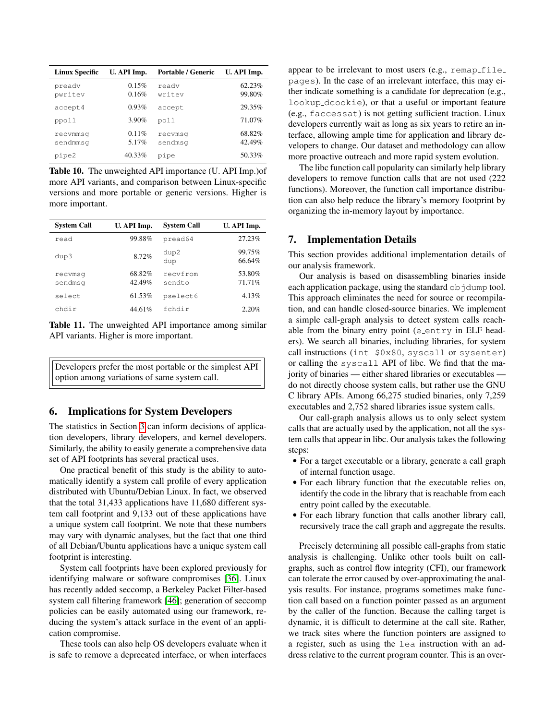| <b>Linux Specific</b> | U. API Imp.    | <b>Portable / Generic</b> | U. API Imp.      |
|-----------------------|----------------|---------------------------|------------------|
| preadv<br>pwritev     | 0.15%<br>0.16% | ready<br>writev           | 62.23%<br>99.80% |
| accept4               | 0.93%          | accept                    | 29.35%           |
| ppoll                 | 3.90%          | poll                      | 71.07%           |
| recvmmsq<br>sendmmsq  | 0.11%<br>5.17% | recvmsq<br>sendmsq        | 68.82%<br>42.49% |
| pipe2                 | 40.33%         | pipe                      | 50.33%           |

<span id="page-11-0"></span>Table 10. The unweighted API importance (U. API Imp.)of more API variants, and comparison between Linux-specific versions and more portable or generic versions. Higher is more important.

| <b>System Call</b> | U. API Imp.      | <b>System Call</b> | U. API Imp.      |
|--------------------|------------------|--------------------|------------------|
| read               | 99.88%           | pread64            | 27.23%           |
| dup3               | 8.72%            | dup2<br>dup        | 99.75%<br>66.64% |
| recvmsq<br>sendmsg | 68.82%<br>42.49% | recyfrom<br>sendto | 53.80%<br>71.71% |
| select             | 61.53%           | pselect6           | 4.13%            |
| chdir              | 44.61%           | fchdir             | 2.20%            |

<span id="page-11-1"></span>Table 11. The unweighted API importance among similar API variants. Higher is more important.

```
Developers prefer the most portable or the simplest API
option among variations of same system call.
```
# 6. Implications for System Developers

The statistics in Section [3](#page-3-1) can inform decisions of application developers, library developers, and kernel developers. Similarly, the ability to easily generate a comprehensive data set of API footprints has several practical uses.

One practical benefit of this study is the ability to automatically identify a system call profile of every application distributed with Ubuntu/Debian Linux. In fact, we observed that the total 31,433 applications have 11,680 different system call footprint and 9,133 out of these applications have a unique system call footprint. We note that these numbers may vary with dynamic analyses, but the fact that one third of all Debian/Ubuntu applications have a unique system call footprint is interesting.

System call footprints have been explored previously for identifying malware or software compromises [\[36\]](#page-15-10). Linux has recently added seccomp, a Berkeley Packet Filter-based system call filtering framework [\[46\]](#page-15-11); generation of seccomp policies can be easily automated using our framework, reducing the system's attack surface in the event of an application compromise.

These tools can also help OS developers evaluate when it is safe to remove a deprecated interface, or when interfaces

appear to be irrelevant to most users (e.g., remap\_file\_ pages). In the case of an irrelevant interface, this may either indicate something is a candidate for deprecation (e.g., lookup dcookie), or that a useful or important feature (e.g., faccessat) is not getting sufficient traction. Linux developers currently wait as long as six years to retire an interface, allowing ample time for application and library developers to change. Our dataset and methodology can allow more proactive outreach and more rapid system evolution.

The libc function call popularity can similarly help library developers to remove function calls that are not used (222 functions). Moreover, the function call importance distribution can also help reduce the library's memory footprint by organizing the in-memory layout by importance.

# 7. Implementation Details

This section provides additional implementation details of our analysis framework.

Our analysis is based on disassembling binaries inside each application package, using the standard  $\circ$ b jdump tool. This approach eliminates the need for source or recompilation, and can handle closed-source binaries. We implement a simple call-graph analysis to detect system calls reachable from the binary entry point  $(e_{entry})$  in ELF headers). We search all binaries, including libraries, for system call instructions (int \$0x80, syscall or sysenter) or calling the syscall API of libc. We find that the majority of binaries — either shared libraries or executables do not directly choose system calls, but rather use the GNU C library APIs. Among 66,275 studied binaries, only 7,259 executables and 2,752 shared libraries issue system calls.

Our call-graph analysis allows us to only select system calls that are actually used by the application, not all the system calls that appear in libc. Our analysis takes the following steps:

- For a target executable or a library, generate a call graph of internal function usage.
- For each library function that the executable relies on, identify the code in the library that is reachable from each entry point called by the executable.
- For each library function that calls another library call, recursively trace the call graph and aggregate the results.

Precisely determining all possible call-graphs from static analysis is challenging. Unlike other tools built on callgraphs, such as control flow integrity (CFI), our framework can tolerate the error caused by over-approximating the analysis results. For instance, programs sometimes make function call based on a function pointer passed as an argument by the caller of the function. Because the calling target is dynamic, it is difficult to determine at the call site. Rather, we track sites where the function pointers are assigned to a register, such as using the lea instruction with an address relative to the current program counter. This is an over-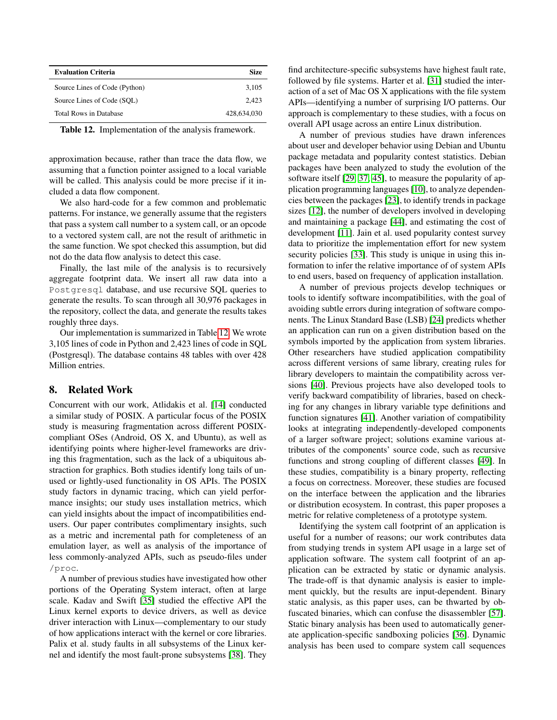| <b>Evaluation Criteria</b>    | Size        |
|-------------------------------|-------------|
| Source Lines of Code (Python) | 3.105       |
| Source Lines of Code (SOL)    | 2.423       |
| Total Rows in Database        | 428,634,030 |

<span id="page-12-0"></span>Table 12. Implementation of the analysis framework.

approximation because, rather than trace the data flow, we assuming that a function pointer assigned to a local variable will be called. This analysis could be more precise if it included a data flow component.

We also hard-code for a few common and problematic patterns. For instance, we generally assume that the registers that pass a system call number to a system call, or an opcode to a vectored system call, are not the result of arithmetic in the same function. We spot checked this assumption, but did not do the data flow analysis to detect this case.

Finally, the last mile of the analysis is to recursively aggregate footprint data. We insert all raw data into a Postgresql database, and use recursive SQL queries to generate the results. To scan through all 30,976 packages in the repository, collect the data, and generate the results takes roughly three days.

Our implementation is summarized in Table [12.](#page-12-0) We wrote 3,105 lines of code in Python and 2,423 lines of code in SQL (Postgresql). The database contains 48 tables with over 428 Million entries.

# 8. Related Work

Concurrent with our work, Atlidakis et al. [\[14\]](#page-14-23) conducted a similar study of POSIX. A particular focus of the POSIX study is measuring fragmentation across different POSIXcompliant OSes (Android, OS X, and Ubuntu), as well as identifying points where higher-level frameworks are driving this fragmentation, such as the lack of a ubiquitous abstraction for graphics. Both studies identify long tails of unused or lightly-used functionality in OS APIs. The POSIX study factors in dynamic tracing, which can yield performance insights; our study uses installation metrics, which can yield insights about the impact of incompatibilities endusers. Our paper contributes complimentary insights, such as a metric and incremental path for completeness of an emulation layer, as well as analysis of the importance of less commonly-analyzed APIs, such as pseudo-files under /proc.

A number of previous studies have investigated how other portions of the Operating System interact, often at large scale. Kadav and Swift [\[35\]](#page-15-12) studied the effective API the Linux kernel exports to device drivers, as well as device driver interaction with Linux—complementary to our study of how applications interact with the kernel or core libraries. Palix et al. study faults in all subsystems of the Linux kernel and identify the most fault-prone subsystems [\[38\]](#page-15-13). They

find architecture-specific subsystems have highest fault rate, followed by file systems. Harter et al. [\[31\]](#page-14-24) studied the interaction of a set of Mac OS X applications with the file system APIs—identifying a number of surprising I/O patterns. Our approach is complementary to these studies, with a focus on overall API usage across an entire Linux distribution.

A number of previous studies have drawn inferences about user and developer behavior using Debian and Ubuntu package metadata and popularity contest statistics. Debian packages have been analyzed to study the evolution of the software itself [\[29,](#page-14-25) [37,](#page-15-14) [45\]](#page-15-15), to measure the popularity of application programming languages [\[10\]](#page-14-26), to analyze dependencies between the packages [\[23\]](#page-14-27), to identify trends in package sizes [\[12\]](#page-14-28), the number of developers involved in developing and maintaining a package [\[44\]](#page-15-16), and estimating the cost of development [\[11\]](#page-14-29). Jain et al. used popularity contest survey data to prioritize the implementation effort for new system security policies [\[33\]](#page-14-30). This study is unique in using this information to infer the relative importance of of system APIs to end users, based on frequency of application installation.

A number of previous projects develop techniques or tools to identify software incompatibilities, with the goal of avoiding subtle errors during integration of software components. The Linux Standard Base (LSB) [\[24\]](#page-14-31) predicts whether an application can run on a given distribution based on the symbols imported by the application from system libraries. Other researchers have studied application compatibility across different versions of same library, creating rules for library developers to maintain the compatibility across versions [\[40\]](#page-15-17). Previous projects have also developed tools to verify backward compatibility of libraries, based on checking for any changes in library variable type definitions and function signatures [\[41\]](#page-15-18). Another variation of compatibility looks at integrating independently-developed components of a larger software project; solutions examine various attributes of the components' source code, such as recursive functions and strong coupling of different classes [\[49\]](#page-15-19). In these studies, compatibility is a binary property, reflecting a focus on correctness. Moreover, these studies are focused on the interface between the application and the libraries or distribution ecosystem. In contrast, this paper proposes a metric for relative completeness of a prototype system.

Identifying the system call footprint of an application is useful for a number of reasons; our work contributes data from studying trends in system API usage in a large set of application software. The system call footprint of an application can be extracted by static or dynamic analysis. The trade-off is that dynamic analysis is easier to implement quickly, but the results are input-dependent. Binary static analysis, as this paper uses, can be thwarted by obfuscated binaries, which can confuse the disassembler [\[57\]](#page-15-20). Static binary analysis has been used to automatically generate application-specific sandboxing policies [\[36\]](#page-15-10). Dynamic analysis has been used to compare system call sequences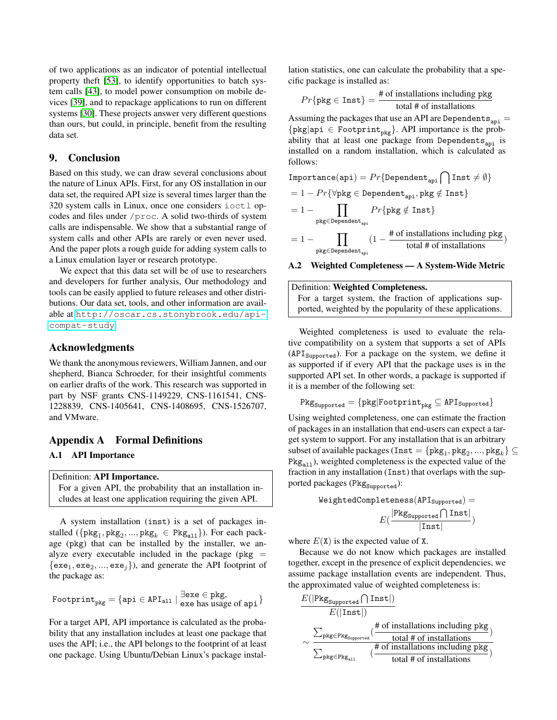of two applications as an indicator of potential intellectual property theft [\[53\]](#page-15-21), to identify opportunities to batch system calls [\[43\]](#page-15-22), to model power consumption on mobile devices [\[39\]](#page-15-23), and to repackage applications to run on different systems [\[30\]](#page-14-32). These projects answer very different questions than ours, but could, in principle, benefit from the resulting data set.

## 9. Conclusion

Based on this study, we can draw several conclusions about the nature of Linux APIs. First, for any OS installation in our data set, the required API size is several times larger than the 320 system calls in Linux, once one considers ioctl opcodes and files under /proc. A solid two-thirds of system calls are indispensable. We show that a substantial range of system calls and other APIs are rarely or even never used. And the paper plots a rough guide for adding system calls to a Linux emulation layer or research prototype.

We expect that this data set will be of use to researchers and developers for further analysis, Our methodology and tools can be easily applied to future releases and other distributions. Our data set, tools, and other information are available at [http://oscar.cs.stonybrook.edu/api](http://oscar.cs.stonybrook.edu/api-compat-study)[compat-study](http://oscar.cs.stonybrook.edu/api-compat-study).

## Acknowledgments

We thank the anonymous reviewers, William Jannen, and our shepherd, Bianca Schroeder, for their insightful comments on earlier drafts of the work. This research was supported in part by NSF grants CNS-1149229, CNS-1161541, CNS-1228839, CNS-1405641, CNS-1408695, CNS-1526707, and VMware.

## Appendix A Formal Definitions

## <span id="page-13-0"></span>A.1 API Importance

Definition: API Importance.

For a given API, the probability that an installation includes at least one application requiring the given API.

A system installation (inst) is a set of packages installed ( $\{pkg_1, pkg_2, ..., pkg_k \in \text{Pkg}_{all}\}$ ). For each package (pkg) that can be installed by the installer, we analyze every executable included in the package ( $pkg$  =  $\{\texttt{exe}_1, \texttt{exe}_2, ..., \texttt{exe}_j\}$ , and generate the API footprint of the package as:

$$
\texttt{footprint}_{\texttt{pkg}} = \{\texttt{api} \in \texttt{API}_{\texttt{all}} \mid \frac{\exists \texttt{exe} \in \texttt{pkg}}{\texttt{exe} \text{ has usage of } \texttt{api}}\}
$$

For a target API, API importance is calculated as the probability that any installation includes at least one package that uses the API; i.e., the API belongs to the footprint of at least one package. Using Ubuntu/Debian Linux's package installation statistics, one can calculate the probability that a specific package is installed as:

$$
Pr\{\text{pkg} \in \text{Inst}\} = \frac{\text{\# of installations including pkg}}{\text{total \# of installations}}
$$

Assuming the packages that use an API are Dependents<sub>api</sub> =  $\{pkg|api \in Footprint_{pkg}\}.$  API importance is the probability that at least one package from Dependents<sub>api</sub> is installed on a random installation, which is calculated as follows:

$$
\begin{aligned} &\text{Importance}(\text{api}) = Pr\{\text{Dependent}_{\text{api}}, \bigcap \text{Inst} \neq \emptyset\} \\ &= 1 - Pr\{\forall \text{pkg} \in \text{Dependent}_{\text{api}}, \text{pkg} \notin \text{Inst}\} \\ &= 1 - \prod_{\text{pkg} \in \text{Dependent}_{\text{api}}} Pr\{\text{pkg} \notin \text{Inst}\} \\ &= 1 - \prod_{\text{pkg} \in \text{Dependent}_{\text{api}}} (1 - \frac{\text{\# of installations including pkg}}{\text{total\# of installations}}) \end{aligned}
$$

<span id="page-13-1"></span>A.2 Weighted Completeness — A System-Wide Metric

Definition: Weighted Completeness. For a target system, the fraction of applications supported, weighted by the popularity of these applications.

Weighted completeness is used to evaluate the relative compatibility on a system that supports a set of APIs (APISupported). For a package on the system, we define it as supported if if every API that the package uses is in the supported API set. In other words, a package is supported if it is a member of the following set:

$$
\texttt{Pkg}_{\text{Supported}} = \{\texttt{pkg}|\texttt{Footprint}_{\texttt{pkg}} \subseteq \texttt{API}_{\text{Supported}}\}
$$

Using weighted completeness, one can estimate the fraction of packages in an installation that end-users can expect a target system to support. For any installation that is an arbitrary subset of available packages ( $\texttt{Inst} = \{\texttt{pkg}_1, \texttt{pkg}_2, ..., \texttt{pkg}_k\} \subseteq$  $Pkg_{a11}$ ), weighted completeness is the expected value of the fraction in any installation (Inst) that overlaps with the supported packages ( $Pkg<sub>Supported</sub>$ ):

$$
\begin{aligned} \mathtt{WeightedCompleteness}(\mathtt{API}_{\mathtt{Supported}}) = \\ & E(\frac{|\mathtt{Pkg}_{\mathtt{Supported}} \bigcap \mathtt{Inst}|}{|\mathtt{Inst}|}) \end{aligned}
$$

where  $E(X)$  is the expected value of X.

Because we do not know which packages are installed together, except in the presence of explicit dependencies, we assume package installation events are independent. Thus, the approximated value of weighted completeness is:

$$
\frac{E(|\text{Pkg}_{\text{Supported}} \bigcap \text{Inst}|)}{E(|\text{Inst}|)}
$$
\n
$$
\sim \frac{\sum_{\text{pkg} \in \text{Pkg}_{\text{Suppotted}}} (\frac{\# \text{ of installations including pkg}}{\text{total} \# \text{ of installations including pkg}})}{\sum_{\text{pkg} \in \text{Pkg}_{\text{all}}}} (\frac{\# \text{ of installations including pkg}}{\text{total} \# \text{ of installations}})
$$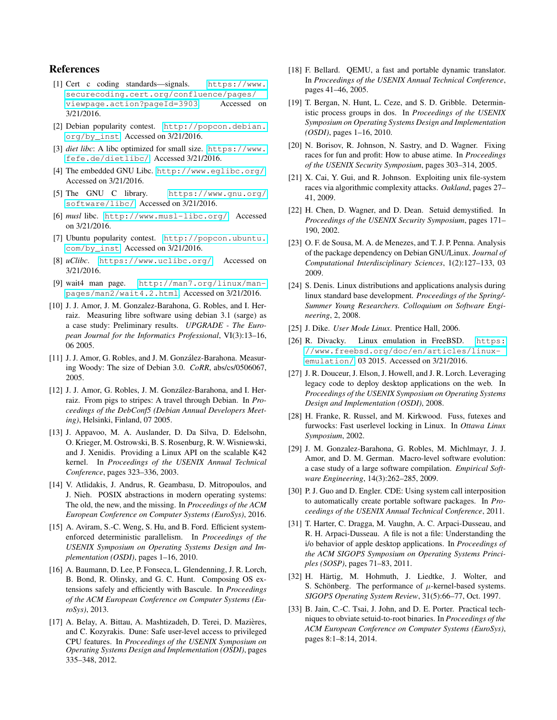# References

- <span id="page-14-0"></span>[1] Cert c coding standards—signals. [https://www.](https://www.securecoding.cert.org/confluence/pages/viewpage.action?pageId=3903) [securecoding.cert.org/confluence/pages/](https://www.securecoding.cert.org/confluence/pages/viewpage.action?pageId=3903) [viewpage.action?pageId=3903](https://www.securecoding.cert.org/confluence/pages/viewpage.action?pageId=3903). Accessed on 3/21/2016.
- <span id="page-14-6"></span>[2] Debian popularity contest. [http://popcon.debian.](http://popcon.debian.org/by_inst) [org/by\\_inst](http://popcon.debian.org/by_inst). Accessed on 3/21/2016.
- <span id="page-14-18"></span>[3] *diet libc*: A libc optimized for small size. [https://www.](https://www.fefe.de/dietlibc/) [fefe.de/dietlibc/](https://www.fefe.de/dietlibc/). Accessed 3/21/2016.
- <span id="page-14-15"></span>[4] The embedded GNU Libc. <http://www.eglibc.org/>. Accessed on 3/21/2016.
- <span id="page-14-10"></span>[5] The GNU C library. [https://www.gnu.org/](https://www.gnu.org/software/libc/) [software/libc/](https://www.gnu.org/software/libc/). Accessed on 3/21/2016.
- <span id="page-14-17"></span>[6] *musl* libc. <http://www.musl-libc.org/>. Accessed on 3/21/2016.
- <span id="page-14-7"></span>[7] Ubuntu popularity contest. [http://popcon.ubuntu.](http://popcon.ubuntu.com/by_inst) [com/by\\_inst](http://popcon.ubuntu.com/by_inst). Accessed on 3/21/2016.
- <span id="page-14-16"></span>[8] *uClibc*. <https://www.uclibc.org/>. Accessed on 3/21/2016.
- <span id="page-14-22"></span>[9] wait4 man page. [http://man7.org/linux/man](http://man7.org/linux/man-pages/man2/wait4.2.html)[pages/man2/wait4.2.html](http://man7.org/linux/man-pages/man2/wait4.2.html). Accessed on 3/21/2016.
- <span id="page-14-26"></span>[10] J. J. Amor, J. M. Gonzalez-Barahona, G. Robles, and I. Herraiz. Measuring libre software using debian 3.1 (sarge) as a case study: Preliminary results. *UPGRADE - The European Journal for the Informatics Professional*, VI(3):13–16, 06 2005.
- <span id="page-14-29"></span>[11] J. J. Amor, G. Robles, and J. M. González-Barahona. Measuring Woody: The size of Debian 3.0. *CoRR*, abs/cs/0506067, 2005.
- <span id="page-14-28"></span>[12] J. J. Amor, G. Robles, J. M. González-Barahona, and I. Herraiz. From pigs to stripes: A travel through Debian. In *Proceedings of the DebConf5 (Debian Annual Developers Meeting)*, Helsinki, Finland, 07 2005.
- <span id="page-14-1"></span>[13] J. Appavoo, M. A. Auslander, D. Da Silva, D. Edelsohn, O. Krieger, M. Ostrowski, B. S. Rosenburg, R. W. Wisniewski, and J. Xenidis. Providing a Linux API on the scalable K42 kernel. In *Proceedings of the USENIX Annual Technical Conference*, pages 323–336, 2003.
- <span id="page-14-23"></span>[14] V. Atlidakis, J. Andrus, R. Geambasu, D. Mitropoulos, and J. Nieh. POSIX abstractions in modern operating systems: The old, the new, and the missing. In *Proceedings of the ACM European Conference on Computer Systems (EuroSys)*, 2016.
- <span id="page-14-2"></span>[15] A. Aviram, S.-C. Weng, S. Hu, and B. Ford. Efficient systemenforced deterministic parallelism. In *Proceedings of the USENIX Symposium on Operating Systems Design and Implementation (OSDI)*, pages 1–16, 2010.
- <span id="page-14-4"></span>[16] A. Baumann, D. Lee, P. Fonseca, L. Glendenning, J. R. Lorch, B. Bond, R. Olinsky, and G. C. Hunt. Composing OS extensions safely and efficiently with Bascule. In *Proceedings of the ACM European Conference on Computer Systems (EuroSys)*, 2013.
- <span id="page-14-9"></span>[17] A. Belay, A. Bittau, A. Mashtizadeh, D. Terei, D. Mazières, and C. Kozyrakis. Dune: Safe user-level access to privileged CPU features. In *Proceedings of the USENIX Symposium on Operating Systems Design and Implementation (OSDI)*, pages 335–348, 2012.
- <span id="page-14-8"></span>[18] F. Bellard. QEMU, a fast and portable dynamic translator. In *Proceedings of the USENIX Annual Technical Conference*, pages 41–46, 2005.
- <span id="page-14-5"></span>[19] T. Bergan, N. Hunt, L. Ceze, and S. D. Gribble. Deterministic process groups in dos. In *Proceedings of the USENIX Symposium on Operating Systems Design and Implementation (OSDI)*, pages 1–16, 2010.
- <span id="page-14-20"></span>[20] N. Borisov, R. Johnson, N. Sastry, and D. Wagner. Fixing races for fun and profit: How to abuse atime. In *Proceedings of the USENIX Security Symposium*, pages 303–314, 2005.
- <span id="page-14-21"></span>[21] X. Cai, Y. Gui, and R. Johnson. Exploiting unix file-system races via algorithmic complexity attacks. *Oakland*, pages 27– 41, 2009.
- <span id="page-14-19"></span>[22] H. Chen, D. Wagner, and D. Dean. Setuid demystified. In *Proceedings of the USENIX Security Symposium*, pages 171– 190, 2002.
- <span id="page-14-27"></span>[23] O. F. de Sousa, M. A. de Menezes, and T. J. P. Penna. Analysis of the package dependency on Debian GNU/Linux. *Journal of Computational Interdisciplinary Sciences*, 1(2):127–133, 03 2009.
- <span id="page-14-31"></span>[24] S. Denis. Linux distributions and applications analysis during linux standard base development. *Proceedings of the Spring/- Summer Young Researchers. Colloquium on Software Engineering*, 2, 2008.
- <span id="page-14-12"></span>[25] J. Dike. *User Mode Linux*. Prentice Hall, 2006.
- <span id="page-14-14"></span>[26] R. Divacky. Linux emulation in FreeBSD. [https:](https://www.freebsd.org/doc/en/articles/linux-emulation/) [//www.freebsd.org/doc/en/articles/linux](https://www.freebsd.org/doc/en/articles/linux-emulation/)[emulation/](https://www.freebsd.org/doc/en/articles/linux-emulation/), 03 2015. Accessed on 3/21/2016.
- <span id="page-14-3"></span>[27] J. R. Douceur, J. Elson, J. Howell, and J. R. Lorch. Leveraging legacy code to deploy desktop applications on the web. In *Proceedings of the USENIX Symposium on Operating Systems Design and Implementation (OSDI)*, 2008.
- <span id="page-14-11"></span>[28] H. Franke, R. Russel, and M. Kirkwood. Fuss, futexes and furwocks: Fast userlevel locking in Linux. In *Ottawa Linux Symposium*, 2002.
- <span id="page-14-25"></span>[29] J. M. Gonzalez-Barahona, G. Robles, M. Michlmayr, J. J. Amor, and D. M. German. Macro-level software evolution: a case study of a large software compilation. *Empirical Software Engineering*, 14(3):262–285, 2009.
- <span id="page-14-32"></span>[30] P. J. Guo and D. Engler. CDE: Using system call interposition to automatically create portable software packages. In *Proceedings of the USENIX Annual Technical Conference*, 2011.
- <span id="page-14-24"></span>[31] T. Harter, C. Dragga, M. Vaughn, A. C. Arpaci-Dusseau, and R. H. Arpaci-Dusseau. A file is not a file: Understanding the i/o behavior of apple desktop applications. In *Proceedings of the ACM SIGOPS Symposium on Operating Systems Principles (SOSP)*, pages 71–83, 2011.
- <span id="page-14-13"></span>[32] H. Härtig, M. Hohmuth, J. Liedtke, J. Wolter, and S. Schönberg. The performance of  $\mu$ -kernel-based systems. *SIGOPS Operating System Review*, 31(5):66–77, Oct. 1997.
- <span id="page-14-30"></span>[33] B. Jain, C.-C. Tsai, J. John, and D. E. Porter. Practical techniques to obviate setuid-to-root binaries. In *Proceedings of the ACM European Conference on Computer Systems (EuroSys)*, pages 8:1–8:14, 2014.